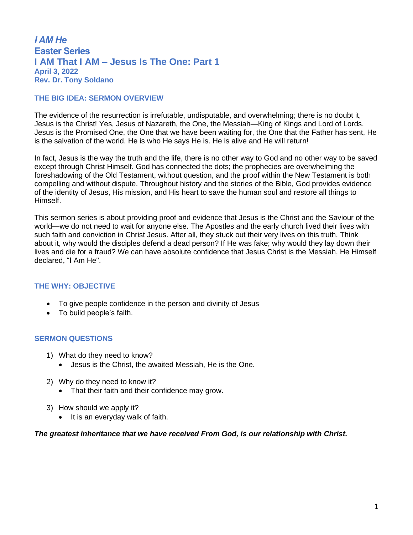*I AM He* **Easter Series I AM That I AM – Jesus Is The One: Part 1 April 3, 2022 Rev. Dr. Tony Soldano**

## **THE BIG IDEA: SERMON OVERVIEW**

The evidence of the resurrection is irrefutable, undisputable, and overwhelming; there is no doubt it, Jesus is the Christ! Yes, Jesus of Nazareth, the One, the Messiah—King of Kings and Lord of Lords. Jesus is the Promised One, the One that we have been waiting for, the One that the Father has sent, He is the salvation of the world. He is who He says He is. He is alive and He will return!

In fact, Jesus is the way the truth and the life, there is no other way to God and no other way to be saved except through Christ Himself. God has connected the dots; the prophecies are overwhelming the foreshadowing of the Old Testament, without question, and the proof within the New Testament is both compelling and without dispute. Throughout history and the stories of the Bible, God provides evidence of the identity of Jesus, His mission, and His heart to save the human soul and restore all things to Himself.

This sermon series is about providing proof and evidence that Jesus is the Christ and the Saviour of the world—we do not need to wait for anyone else. The Apostles and the early church lived their lives with such faith and conviction in Christ Jesus. After all, they stuck out their very lives on this truth. Think about it, why would the disciples defend a dead person? If He was fake; why would they lay down their lives and die for a fraud? We can have absolute confidence that Jesus Christ is the Messiah, He Himself declared, "I Am He".

# **THE WHY: OBJECTIVE**

- To give people confidence in the person and divinity of Jesus
- To build people's faith.

## **SERMON QUESTIONS**

- 1) What do they need to know?
	- Jesus is the Christ, the awaited Messiah, He is the One.
- 2) Why do they need to know it?
	- That their faith and their confidence may grow.
- 3) How should we apply it?
	- It is an everyday walk of faith.

#### *The greatest inheritance that we have received From God, is our relationship with Christ.*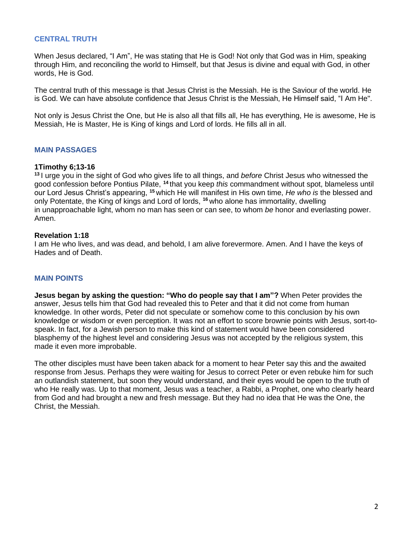## **CENTRAL TRUTH**

When Jesus declared, "I Am", He was stating that He is God! Not only that God was in Him, speaking through Him, and reconciling the world to Himself, but that Jesus is divine and equal with God, in other words, He is God.

The central truth of this message is that Jesus Christ is the Messiah. He is the Saviour of the world. He is God. We can have absolute confidence that Jesus Christ is the Messiah, He Himself said, "I Am He".

Not only is Jesus Christ the One, but He is also all that fills all, He has everything, He is awesome, He is Messiah, He is Master, He is King of kings and Lord of lords. He fills all in all.

#### **MAIN PASSAGES**

#### **1Timothy 6;13-16**

**<sup>13</sup>** I urge you in the sight of God who gives life to all things, and *before* Christ Jesus who witnessed the good confession before Pontius Pilate, **<sup>14</sup>** that you keep *this* commandment without spot, blameless until our Lord Jesus Christ's appearing, **<sup>15</sup>** which He will manifest in His own time, *He who is* the blessed and only Potentate, the King of kings and Lord of lords, **<sup>16</sup>** who alone has immortality, dwelling in unapproachable light, whom no man has seen or can see, to whom *be* honor and everlasting power. Amen.

#### **Revelation 1:18**

I am He who lives, and was dead, and behold, I am alive forevermore. Amen. And I have the keys of Hades and of Death.

#### **MAIN POINTS**

**Jesus began by asking the question: "Who do people say that I am"?** When Peter provides the answer, Jesus tells him that God had revealed this to Peter and that it did not come from human knowledge. In other words, Peter did not speculate or somehow come to this conclusion by his own knowledge or wisdom or even perception. It was not an effort to score brownie points with Jesus, sort-tospeak. In fact, for a Jewish person to make this kind of statement would have been considered blasphemy of the highest level and considering Jesus was not accepted by the religious system, this made it even more improbable.

The other disciples must have been taken aback for a moment to hear Peter say this and the awaited response from Jesus. Perhaps they were waiting for Jesus to correct Peter or even rebuke him for such an outlandish statement, but soon they would understand, and their eyes would be open to the truth of who He really was. Up to that moment, Jesus was a teacher, a Rabbi, a Prophet, one who clearly heard from God and had brought a new and fresh message. But they had no idea that He was the One, the Christ, the Messiah.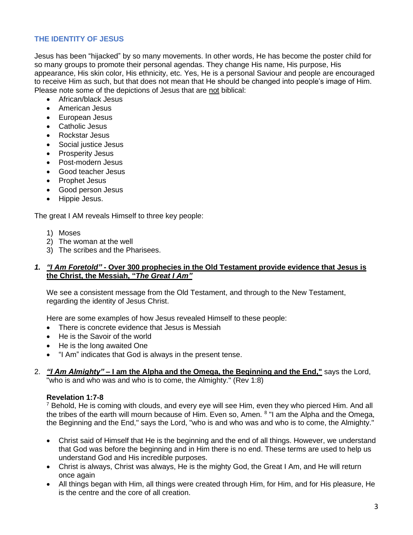# **THE IDENTITY OF JESUS**

Jesus has been "hijacked" by so many movements. In other words, He has become the poster child for so many groups to promote their personal agendas. They change His name, His purpose, His appearance, His skin color, His ethnicity, etc. Yes, He is a personal Saviour and people are encouraged to receive Him as such, but that does not mean that He should be changed into people's image of Him. Please note some of the depictions of Jesus that are not biblical:

- African/black Jesus
- American Jesus
- European Jesus
- Catholic Jesus
- Rockstar Jesus
- Social justice Jesus
- Prosperity Jesus
- Post-modern Jesus
- Good teacher Jesus
- Prophet Jesus
- Good person Jesus
- Hippie Jesus.

The great I AM reveals Himself to three key people:

- 1) Moses
- 2) The woman at the well
- 3) The scribes and the Pharisees.

## *1. "I Am Foretold"* **- Over 300 prophecies in the Old Testament provide evidence that Jesus is the Christ, the Messiah, "***The Great I Am"*

We see a consistent message from the Old Testament, and through to the New Testament, regarding the identity of Jesus Christ.

Here are some examples of how Jesus revealed Himself to these people:

- There is concrete evidence that Jesus is Messiah
- He is the Savoir of the world
- He is the long awaited One
- "I Am" indicates that God is always in the present tense.
- 2. *"I Am Almighty"* **– I am the Alpha and the Omega, the Beginning and the End,"** says the Lord, "who is and who was and who is to come, the Almighty." (Rev 1:8)

## **Revelation 1:7-8**

 $7$  Behold, He is coming with clouds, and every eye will see Him, even they who pierced Him. And all the tribes of the earth will mourn because of Him. Even so, Amen. <sup>8</sup> "I am the Alpha and the Omega, the Beginning and the End," says the Lord, "who is and who was and who is to come, the Almighty."

- Christ said of Himself that He is the beginning and the end of all things. However, we understand that God was before the beginning and in Him there is no end. These terms are used to help us understand God and His incredible purposes.
- Christ is always, Christ was always, He is the mighty God, the Great I Am, and He will return once again
- All things began with Him, all things were created through Him, for Him, and for His pleasure, He is the centre and the core of all creation.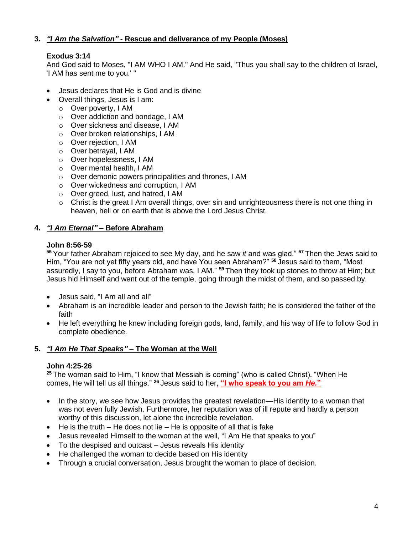# **3.** *"I Am the Salvation" -* **Rescue and deliverance of my People (Moses)**

# **Exodus 3:14**

And God said to Moses, "I AM WHO I AM." And He said, "Thus you shall say to the children of Israel, 'I AM has sent me to you.' "

- Jesus declares that He is God and is divine
- Overall things, Jesus is I am:
	- o Over poverty, I AM
	- o Over addiction and bondage, I AM
	- o Over sickness and disease, I AM
	- o Over broken relationships, I AM
	- o Over rejection, I AM
	- o Over betrayal, I AM
	- o Over hopelessness, I AM
	- o Over mental health, I AM
	- o Over demonic powers principalities and thrones, I AM
	- o Over wickedness and corruption, I AM
	- o Over greed, lust, and hatred, I AM
	- $\circ$  Christ is the great I Am overall things, over sin and unrighteousness there is not one thing in heaven, hell or on earth that is above the Lord Jesus Christ.

## **4.** *"I Am Eternal"* **– Before Abraham**

#### **John 8:56-59**

**<sup>56</sup>** Your father Abraham rejoiced to see My day, and he saw *it* and was glad." **<sup>57</sup>** Then the Jews said to Him, "You are not yet fifty years old, and have You seen Abraham?" **<sup>58</sup>** Jesus said to them, "Most assuredly, I say to you, before Abraham was, I AM." **<sup>59</sup>** Then they took up stones to throw at Him; but Jesus hid Himself and went out of the temple, going through the midst of them, and so passed by.

- Jesus said, "I Am all and all"
- Abraham is an incredible leader and person to the Jewish faith; he is considered the father of the faith
- He left everything he knew including foreign gods, land, family, and his way of life to follow God in complete obedience.

## **5.** *"I Am He That Speaks"* **– The Woman at the Well**

## **John 4:25-26**

**<sup>25</sup>** The woman said to Him, "I know that Messiah is coming" (who is called Christ). "When He comes, He will tell us all things." **<sup>26</sup>** Jesus said to her, **"I who speak to you am** *He.***"**

- In the story, we see how Jesus provides the greatest revelation—His identity to a woman that was not even fully Jewish. Furthermore, her reputation was of ill repute and hardly a person worthy of this discussion, let alone the incredible revelation.
- $\bullet$  He is the truth He does not lie He is opposite of all that is fake
- Jesus revealed Himself to the woman at the well, "I Am He that speaks to you"
- To the despised and outcast Jesus reveals His identity
- He challenged the woman to decide based on His identity
- Through a crucial conversation, Jesus brought the woman to place of decision.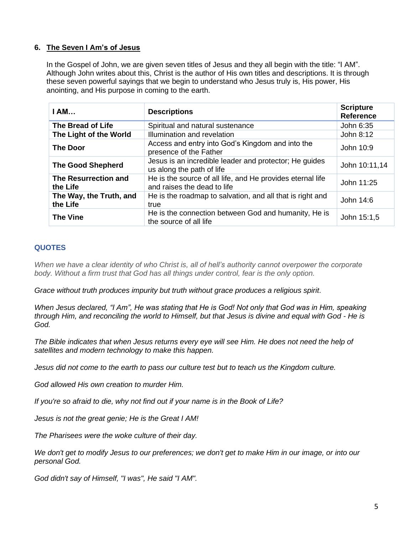## **6. The Seven I Am's of Jesus**

In the Gospel of John, we are given seven titles of Jesus and they all begin with the title: "I AM". Although John writes about this, Christ is the author of His own titles and descriptions. It is through these seven powerful sayings that we begin to understand who Jesus truly is, His power, His anointing, and His purpose in coming to the earth.

| <b>I AM</b>                         | <b>Descriptions</b>                                                                       | <b>Scripture</b><br><b>Reference</b> |
|-------------------------------------|-------------------------------------------------------------------------------------------|--------------------------------------|
| The Bread of Life                   | Spiritual and natural sustenance                                                          | John 6:35                            |
| The Light of the World              | Illumination and revelation                                                               | John 8:12                            |
| <b>The Door</b>                     | Access and entry into God's Kingdom and into the<br>presence of the Father                | John 10:9                            |
| <b>The Good Shepherd</b>            | Jesus is an incredible leader and protector; He guides<br>us along the path of life       | John 10:11,14                        |
| The Resurrection and<br>the Life    | He is the source of all life, and He provides eternal life<br>and raises the dead to life | John 11:25                           |
| The Way, the Truth, and<br>the Life | He is the roadmap to salvation, and all that is right and<br>true                         | John 14:6                            |
| <b>The Vine</b>                     | He is the connection between God and humanity, He is<br>the source of all life            | John 15:1,5                          |

## **QUOTES**

*When we have a clear identity of who Christ is, all of hell's authority cannot overpower the corporate body. Without a firm trust that God has all things under control, fear is the only option.*

*Grace without truth produces impurity but truth without grace produces a religious spirit.*

*When Jesus declared, "I Am", He was stating that He is God! Not only that God was in Him, speaking through Him, and reconciling the world to Himself, but that Jesus is divine and equal with God - He is God.* 

*The Bible indicates that when Jesus returns every eye will see Him. He does not need the help of satellites and modern technology to make this happen.*

*Jesus did not come to the earth to pass our culture test but to teach us the Kingdom culture.*

*God allowed His own creation to murder Him.*

*If you're so afraid to die, why not find out if your name is in the Book of Life?*

*Jesus is not the great genie; He is the Great I AM!*

*The Pharisees were the woke culture of their day.* 

*We don't get to modify Jesus to our preferences; we don't get to make Him in our image, or into our personal God.*

*God didn't say of Himself, "I was", He said "I AM".*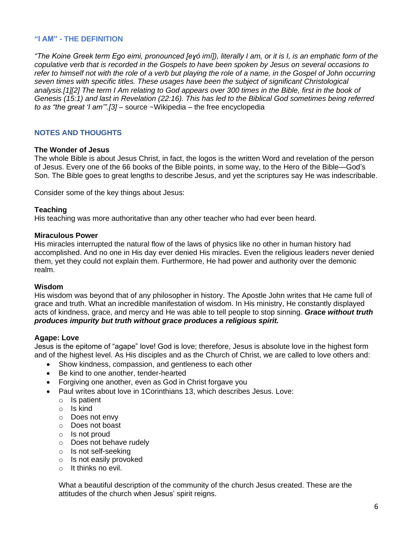## **"I AM" - THE DEFINITION**

*"The Koine Greek term Ego eimi, pronounced [eɣó imí]), literally I am, or it is I, is an emphatic form of the copulative verb that is recorded in the Gospels to have been spoken by Jesus on several occasions to refer to himself not with the role of a verb but playing the role of a name, in the Gospel of John occurring seven times with specific titles. These usages have been the subject of significant Christological analysis.[1][2] The term I Am relating to God appears over 300 times in the Bible, first in the book of Genesis (15:1) and last in Revelation (22:16). This has led to the Biblical God sometimes being referred to as "the great 'I am'".[3] –* source ~Wikipedia – the free encyclopedia

## **NOTES AND THOUGHTS**

#### **The Wonder of Jesus**

The whole Bible is about Jesus Christ, in fact, the logos is the written Word and revelation of the person of Jesus. Every one of the 66 books of the Bible points, in some way, to the Hero of the Bible—God's Son. The Bible goes to great lengths to describe Jesus, and yet the scriptures say He was indescribable.

Consider some of the key things about Jesus:

#### **Teaching**

His teaching was more authoritative than any other teacher who had ever been heard.

#### **Miraculous Power**

His miracles interrupted the natural flow of the laws of physics like no other in human history had accomplished. And no one in His day ever denied His miracles. Even the religious leaders never denied them, yet they could not explain them. Furthermore, He had power and authority over the demonic realm.

#### **Wisdom**

His wisdom was beyond that of any philosopher in history. The Apostle John writes that He came full of grace and truth. What an incredible manifestation of wisdom. In His ministry, He constantly displayed acts of kindness, grace, and mercy and He was able to tell people to stop sinning. *Grace without truth produces impurity but truth without grace produces a religious spirit.* 

#### **Agape: Love**

Jesus is the epitome of "agape" love! God is love; therefore, Jesus is absolute love in the highest form and of the highest level. As His disciples and as the Church of Christ, we are called to love others and:

- Show kindness, compassion, and gentleness to each other
- Be kind to one another, tender-hearted
- Forgiving one another, even as God in Christ forgave you
- Paul writes about love in 1Corinthians 13, which describes Jesus. Love:
	- o Is patient
	- o Is kind
	- o Does not envy
	- o Does not boast
	- o Is not proud
	- o Does not behave rudely
	- o Is not self-seeking
	- o Is not easily provoked
	- $\circ$  It thinks no evil.

What a beautiful description of the community of the church Jesus created. These are the attitudes of the church when Jesus' spirit reigns.